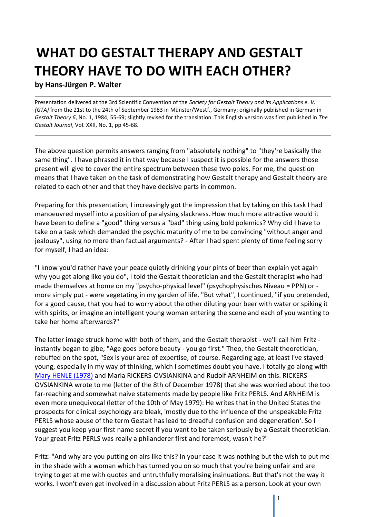# **WHAT DO GESTALT THERAPY AND GESTALT THEORY HAVE TO DO WITH EACH OTHER?**

## **by Hans-Jürgen P. Walter**

Presentation delivered at the 3rd Scientific Convention of the *Society for Gestalt Theory and its Applications e. V. (GTA)* from the 21st to the 24th of September 1983 in Münster/Westf., Germany; originally published in German in *Gestalt Theory 6*, No. 1, 1984, 55-69; slightly revised for the translation. This English version was first published in *The Gestalt Journal*, Vol. XXII, No. 1, pp 45-68.

The above question permits answers ranging from "absolutely nothing" to "they're basically the same thing". I have phrased it in that way because I suspect it is possible for the answers those present will give to cover the entire spectrum between these two poles. For me, the question means that I have taken on the task of demonstrating how Gestalt therapy and Gestalt theory are related to each other and that they have decisive parts in common.

Preparing for this presentation, I increasingly got the impression that by taking on this task I had manoeuvred myself into a position of paralysing slackness. How much more attractive would it have been to define a "good" thing versus a "bad" thing using bold polemics? Why did I have to take on a task which demanded the psychic maturity of me to be convincing "without anger and jealousy", using no more than factual arguments? - After I had spent plenty of time feeling sorry for myself, I had an idea:

"I know you'd rather have your peace quietly drinking your pints of beer than explain yet again why you get along like you do", I told the Gestalt theoretician and the Gestalt therapist who had made themselves at home on my "psycho-physical level" (psychophysisches Niveau = PPN) or more simply put - were vegetating in my garden of life. "But what", I continued, "if you pretended, for a good cause, that you had to worry about the other diluting your beer with water or spiking it with spirits, or imagine an intelligent young woman entering the scene and each of you wanting to take her home afterwards?"

The latter image struck home with both of them, and the Gestalt therapist - we'll call him Fritz instantly began to gibe, "Age goes before beauty - you go first." Theo, the Gestalt theoretician, rebuffed on the spot, "Sex is your area of expertise, of course. Regarding age, at least I've stayed young, especially in my way of thinking, which I sometimes doubt you have. I totally go along with [Mary HENLE \(1978\)](http://www.feministvoices.com/mary-henle/) and Maria RICKERS-OVSIANKINA and Rudolf ARNHEIM on this. RICKERS-OVSIANKINA wrote to me (letter of the 8th of December 1978) that she was worried about the too far-reaching and somewhat naive statements made by people like Fritz PERLS. And ARNHEIM is even more unequivocal (letter of the 10th of May 1979): He writes that in the United States the prospects for clinical psychology are bleak, 'mostly due to the influence of the unspeakable Fritz PERLS whose abuse of the term Gestalt has lead to dreadful confusion and degeneration'. So I suggest you keep your first name secret if you want to be taken seriously by a Gestalt theoretician. Your great Fritz PERLS was really a philanderer first and foremost, wasn't he?"

Fritz: "And why are you putting on airs like this? In your case it was nothing but the wish to put me in the shade with a woman which has turned you on so much that you're being unfair and are trying to get at me with quotes and untruthfully moralising insinuations. But that's not the way it works. I won't even get involved in a discussion about Fritz PERLS as a person. Look at your own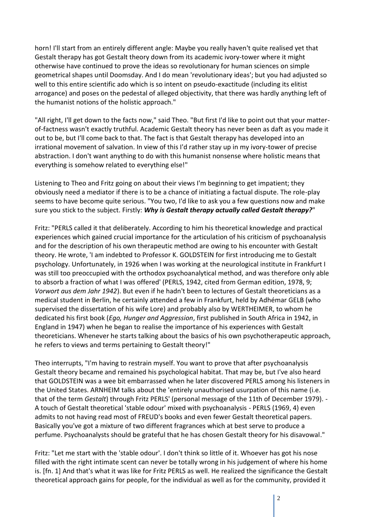horn! I'll start from an entirely different angle: Maybe you really haven't quite realised yet that Gestalt therapy has got Gestalt theory down from its academic ivory-tower where it might otherwise have continued to prove the ideas so revolutionary for human sciences on simple geometrical shapes until Doomsday. And I do mean 'revolutionary ideas'; but you had adjusted so well to this entire scientific ado which is so intent on pseudo-exactitude (including its elitist arrogance) and poses on the pedestal of alleged objectivity, that there was hardly anything left of the humanist notions of the holistic approach."

"All right, I'll get down to the facts now," said Theo. "But first I'd like to point out that your matterof-factness wasn't exactly truthful. Academic Gestalt theory has never been as daft as you made it out to be, but I'll come back to that. The fact is that Gestalt therapy has developed into an irrational movement of salvation. In view of this I'd rather stay up in my ivory-tower of precise abstraction. I don't want anything to do with this humanist nonsense where holistic means that everything is somehow related to everything else!"

Listening to Theo and Fritz going on about their views I'm beginning to get impatient; they obviously need a mediator if there is to be a chance of initiating a factual dispute. The role-play seems to have become quite serious. "You two, I'd like to ask you a few questions now and make sure you stick to the subject. Firstly: *Why is Gestalt therapy actually called Gestalt therapy?*"

Fritz: "PERLS called it that deliberately. According to him his theoretical knowledge and practical experiences which gained crucial importance for the articulation of his criticism of psychoanalysis and for the description of his own therapeutic method are owing to his encounter with Gestalt theory. He wrote, 'I am indebted to Professor K. GOLDSTEIN for first introducing me to Gestalt psychology. Unfortunately, in 1926 when I was working at the neurological institute in Frankfurt I was still too preoccupied with the orthodox psychoanalytical method, and was therefore only able to absorb a fraction of what I was offered' (PERLS, 1942, cited from German edition, 1978, 9; *Vorwort aus dem Jahr 1942*). But even if he hadn't been to lectures of Gestalt theoreticians as a medical student in Berlin, he certainly attended a few in Frankfurt, held by Adhémar GELB (who supervised the dissertation of his wife Lore) and probably also by WERTHEIMER, to whom he dedicated his first book (*Ego, Hunger and Aggression*, first published in South Africa in 1942, in England in 1947) when he began to realise the importance of his experiences with Gestalt theoreticians. Whenever he starts talking about the basics of his own psychotherapeutic approach, he refers to views and terms pertaining to Gestalt theory!"

Theo interrupts, "I'm having to restrain myself. You want to prove that after psychoanalysis Gestalt theory became and remained his psychological habitat. That may be, but I've also heard that GOLDSTEIN was a wee bit embarrassed when he later discovered PERLS among his listeners in the United States. ARNHEIM talks about the 'entirely unauthorised usurpation of this name (i.e. that of the term *Gestalt*) through Fritz PERLS' (personal message of the 11th of December 1979). - A touch of Gestalt theoretical 'stable odour' mixed with psychoanalysis - PERLS (1969, 4) even admits to not having read most of FREUD's books and even fewer Gestalt theoretical papers. Basically you've got a mixture of two different fragrances which at best serve to produce a perfume. Psychoanalysts should be grateful that he has chosen Gestalt theory for his disavowal."

Fritz: "Let me start with the 'stable odour'. I don't think so little of it. Whoever has got his nose filled with the right intimate scent can never be totally wrong in his judgement of where his home is. [fn. 1] And that's what it was like for Fritz PERLS as well. He realized the significance the Gestalt theoretical approach gains for people, for the individual as well as for the community, provided it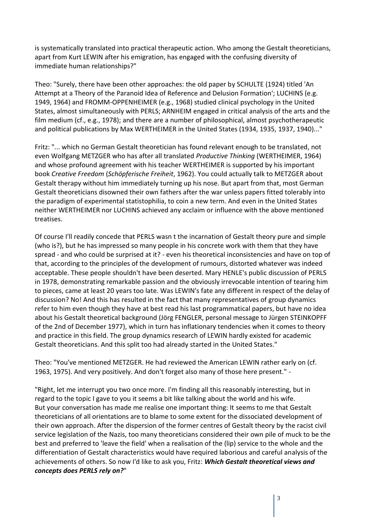is systematically translated into practical therapeutic action. Who among the Gestalt theoreticians, apart from Kurt LEWIN after his emigration, has engaged with the confusing diversity of immediate human relationships?"

Theo: "Surely, there have been other approaches: the old paper by SCHULTE (1924) titled 'An Attempt at a Theory of the Paranoid Idea of Reference and Delusion Formation'; LUCHINS (e.g. 1949, 1964) and FROMM-OPPENHEIMER (e.g., 1968) studied clinical psychology in the United States, almost simultaneously with PERLS; ARNHEIM engaged in critical analysis of the arts and the film medium (cf., e.g., 1978); and there are a number of philosophical, almost psychotherapeutic and political publications by Max WERTHEIMER in the United States (1934, 1935, 1937, 1940)..."

Fritz: "... which no German Gestalt theoretician has found relevant enough to be translated, not even Wolfgang METZGER who has after all translated *Productive Thinking* (WERTHEIMER, 1964) and whose profound agreement with his teacher WERTHEIMER is supported by his important book *Creative Freedom* (*Schöpferische Freiheit*, 1962). You could actually talk to METZGER about Gestalt therapy without him immediately turning up his nose. But apart from that, most German Gestalt theoreticians disowned their own fathers after the war unless papers fitted tolerably into the paradigm of experimental statistophilia, to coin a new term. And even in the United States neither WERTHEIMER nor LUCHINS achieved any acclaim or influence with the above mentioned treatises.

Of course I'll readily concede that PERLS wasn t the incarnation of Gestalt theory pure and simple (who is?), but he has impressed so many people in his concrete work with them that they have spread - and who could be surprised at it? - even his theoretical inconsistencies and have on top of that, according to the principles of the development of rumours, distorted whatever was indeed acceptable. These people shouldn't have been deserted. Mary HENLE's public discussion of PERLS in 1978, demonstrating remarkable passion and the obviously irrevocable intention of tearing him to pieces, came at least 20 years too late. Was LEWIN's fate any different in respect of the delay of discussion? No! And this has resulted in the fact that many representatives of group dynamics refer to him even though they have at best read his last programmatical papers, but have no idea about his Gestalt theoretical background (Jörg FENGLER, personal message to Jürgen STEINKOPFF of the 2nd of December 1977), which in turn has inflationary tendencies when it comes to theory and practice in this field. The group dynamics research of LEWIN hardly existed for academic Gestalt theoreticians. And this split too had already started in the United States."

Theo: "You've mentioned METZGER. He had reviewed the American LEWIN rather early on (cf. 1963, 1975). And very positively. And don't forget also many of those here present." -

"Right, let me interrupt you two once more. I'm finding all this reasonably interesting, but in regard to the topic I gave to you it seems a bit like talking about the world and his wife. But your conversation has made me realise one important thing: It seems to me that Gestalt theoreticians of all orientations are to blame to some extent for the dissociated development of their own approach. After the dispersion of the former centres of Gestalt theory by the racist civil service legislation of the Nazis, too many theoreticians considered their own pile of muck to be the best and preferred to 'leave the field' when a realisation of the (lip) service to the whole and the differentiation of Gestalt characteristics would have required laborious and careful analysis of the achievements of others. So now I'd like to ask you, Fritz: *Which Gestalt theoretical views and concepts does PERLS rely on?*"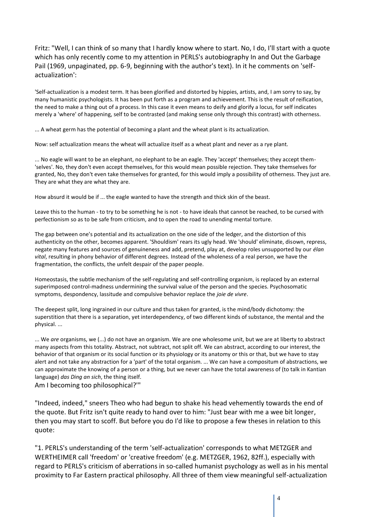Fritz: "Well, I can think of so many that I hardly know where to start. No, I do, I'll start with a quote which has only recently come to my attention in PERLS's autobiography In and Out the Garbage Pail (1969, unpaginated, pp. 6-9, beginning with the author's text). In it he comments on 'selfactualization':

'Self-actualization is a modest term. It has been glorified and distorted by hippies, artists, and, I am sorry to say, by many humanistic psychologists. It has been put forth as a program and achievement. This is the result of reification, the need to make a thing out of a process. In this case it even means to deify and glorify a locus, for self indicates merely a 'where' of happening, self to be contrasted (and making sense only through this contrast) with otherness.

... A wheat germ has the potential of becoming a plant and the wheat plant is its actualization.

Now: self actualization means the wheat will actualize itself as a wheat plant and never as a rye plant.

... No eagle will want to be an elephant, no elephant to be an eagle. They 'accept' themselves; they accept them- 'selves'. No, they don't even accept themselves, for this would mean possible rejection. They take themselves for granted, No, they don't even take themselves for granted, for this would imply a possibility of otherness. They just are. They are what they are what they are.

How absurd it would be if ... the eagle wanted to have the strength and thick skin of the beast.

Leave this to the human - to try to be something he is not - to have ideals that cannot be reached, to be cursed with perfectionism so as to be safe from criticism, and to open the road to unending mental torture.

The gap between one's potential and its actualization on the one side of the ledger, and the distortion of this authenticity on the other, becomes apparent. 'Shouldism' rears its ugly head. We 'should' eliminate, disown, repress, negate many features and sources of genuineness and add, pretend, play at, develop roles unsupported by our *élan vital*, resulting in phony behavior of different degrees. Instead of the wholeness of a real person, we have the fragmentation, the conflicts, the unfelt despair of the paper people.

Homeostasis, the subtle mechanism of the self-regulating and self-controlling organism, is replaced by an external superimposed control-madness undermining the survival value of the person and the species. Psychosomatic symptoms, despondency, lassitude and compulsive behavior replace the *joie de vivre*.

The deepest split, long ingrained in our culture and thus taken for granted, is the mind/body dichotomy: the superstition that there is a separation, yet interdependency, of two different kinds of substance, the mental and the physical. ...

... We *are* organisms, we (...) do not have an organism. We are one wholesome unit, but we are at liberty to abstract many aspects from this totality. Abstract, not subtract, not split off. We can abstract, according to our interest, the behavior of that organism or its social function or its physiology or its anatomy or this or that, but we have to stay alert and not take any abstraction for a 'part' of the total organism. ... We can have a compositum of abstractions, we can approximate the knowing of a person or a thing, but we never can have the total awareness of (to talk in Kantian language) *das Ding an sich*, the thing itself.

Am I becoming too philosophical?'"

"Indeed, indeed," sneers Theo who had begun to shake his head vehemently towards the end of the quote. But Fritz isn't quite ready to hand over to him: "Just bear with me a wee bit longer, then you may start to scoff. But before you do I'd like to propose a few theses in relation to this quote:

"1. PERLS's understanding of the term 'self-actualization' corresponds to what METZGER and WERTHEIMER call 'freedom' or 'creative freedom' (e.g. METZGER, 1962, 82ff.), especially with regard to PERLS's criticism of aberrations in so-called humanist psychology as well as in his mental proximity to Far Eastern practical philosophy. All three of them view meaningful self-actualization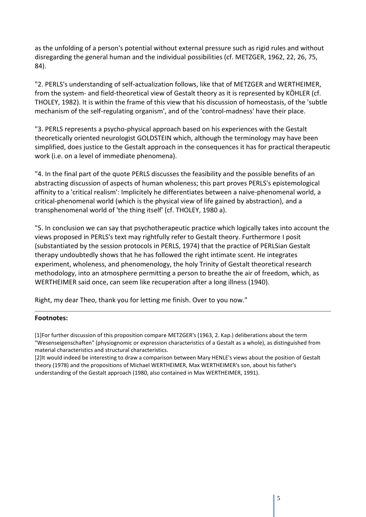as the unfolding of a person's potential without external pressure such as rigid rules and without disregarding the general human and the individual possibilities (cf. METZGER, 1962, 22, 26, 75, 84).

"2. PERLS's understanding of self-actualization follows, like that of METZGER and WERTHEIMER, from the system- and field-theoretical view of Gestalt theory as it is represented by KÖHLER (cf. THOLEY, 1982). It is within the frame of this view that his discussion of homeostasis, of the 'subtle mechanism of the self-regulating organism', and of the 'control-madness' have their place.

"3. PERLS represents a psycho-physical approach based on his experiences with the Gestalt theoretically oriented neurologist GOLDSTEIN which, although the terminology may have been simplified, does justice to the Gestalt approach in the consequences it has for practical therapeutic work (i.e. on a level of immediate phenomena).

"4. In the final part of the quote PERLS discusses the feasibility and the possible benefits of an abstracting discussion of aspects of human wholeness; this part proves PERLS's epistemological affinity to a 'critical realism': Implicitely he differentiates between a naive-phenomenal world, a critical-phenomenal world (which is the physical view of life gained by abstraction), and a transphenomenal world of 'the thing itself' (cf. THOLEY, 1980 a).

"5. In conclusion we can say that psychotherapeutic practice which logically takes into account the views proposed in PERLS's text may rightfully refer to Gestalt theory. Furthermore I posit (substantiated by the session protocols in PERLS, 1974) that the practice of PERLSian Gestalt therapy undoubtedly shows that he has followed the right intimate scent. He integrates experiment, wholeness, and phenomenology, the holy Trinity of Gestalt theoretical research methodology, into an atmosphere permitting a person to breathe the air of freedom, which, as WERTHEIMER said once, can seem like recuperation after a long illness (1940).

Right, my dear Theo, thank you for letting me finish. Over to you now."

### **Footnotes:**

[1]For further discussion of this proposition compare METZGER's (1963, 2. Kap.) deliberations about the term "Wesenseigenschaften" (physiognomic or expression characteristics of a Gestalt as a whole), as distinguished from material characteristics and structural characteristics.

[2]It would indeed be interesting to draw a comparison between Mary HENLE's views about the position of Gestalt theory (1978) and the propositions of Michael WERTHEIMER, Max WERTHEIMER's son, about his father's understanding of the Gestalt approach (1980, also contained in Max WERTHEIMER, 1991).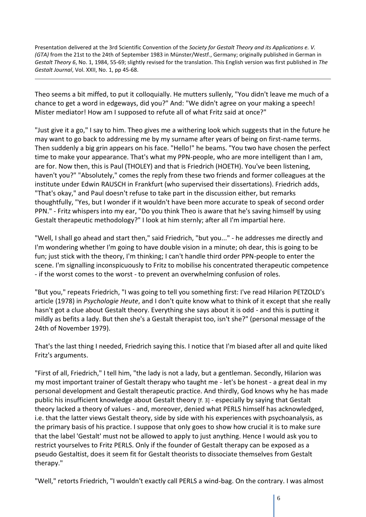Presentation delivered at the 3rd Scientific Convention of the *Society for Gestalt Theory and its Applications e. V. (GTA)* from the 21st to the 24th of September 1983 in Münster/Westf., Germany; originally published in German in *Gestalt Theory 6*, No. 1, 1984, 55-69; slightly revised for the translation. This English version was first published in *The Gestalt Journal*, Vol. XXII, No. 1, pp 45-68.

Theo seems a bit miffed, to put it colloquially. He mutters sullenly, "You didn't leave me much of a chance to get a word in edgeways, did you?" And: "We didn't agree on your making a speech! Mister mediator! How am I supposed to refute all of what Fritz said at once?"

"Just give it a go," I say to him. Theo gives me a withering look which suggests that in the future he may want to go back to addressing me by my surname after years of being on first-name terms. Then suddenly a big grin appears on his face. "Hello!" he beams. "You two have chosen the perfect time to make your appearance. That's what my PPN-people, who are more intelligent than I am, are for. Now then, this is Paul (THOLEY) and that is Friedrich (HOETH). You've been listening, haven't you?" "Absolutely," comes the reply from these two friends and former colleagues at the institute under Edwin RAUSCH in Frankfurt (who supervised their dissertations). Friedrich adds, "That's okay," and Paul doesn't refuse to take part in the discussion either, but remarks thoughtfully, "Yes, but I wonder if it wouldn't have been more accurate to speak of second order PPN." - Fritz whispers into my ear, "Do you think Theo is aware that he's saving himself by using Gestalt therapeutic methodology?" I look at him sternly; after all I'm impartial here.

"Well, I shall go ahead and start then," said Friedrich, "but you..." - he addresses me directly and I'm wondering whether I'm going to have double vision in a minute; oh dear, this is going to be fun; just stick with the theory, I'm thinking; I can't handle third order PPN-people to enter the scene. I'm signalling inconspicuously to Fritz to mobilise his concentrated therapeutic competence - if the worst comes to the worst - to prevent an overwhelming confusion of roles.

"But you," repeats Friedrich, "I was going to tell you something first: I've read Hilarion PETZOLD's article (1978) in *Psychologie Heute*, and I don't quite know what to think of it except that she really hasn't got a clue about Gestalt theory. Everything she says about it is odd - and this is putting it mildly as befits a lady. But then she's a Gestalt therapist too, isn't she?" (personal message of the 24th of November 1979).

That's the last thing I needed, Friedrich saying this. I notice that I'm biased after all and quite liked Fritz's arguments.

"First of all, Friedrich," I tell him, "the lady is not a lady, but a gentleman. Secondly, Hilarion was my most important trainer of Gestalt therapy who taught me - let's be honest - a great deal in my personal development and Gestalt therapeutic practice. And thirdly, God knows why he has made public his insufficient knowledge about Gestalt theory [f. 3] - especially by saying that Gestalt theory lacked a theory of values - and, moreover, denied what PERLS himself has acknowledged, i.e. that the latter views Gestalt theory, side by side with his experiences with psychoanalysis, as the primary basis of his practice. I suppose that only goes to show how crucial it is to make sure that the label 'Gestalt' must not be allowed to apply to just anything. Hence I would ask you to restrict yourselves to Fritz PERLS. Only if the founder of Gestalt therapy can be exposed as a pseudo Gestaltist, does it seem fit for Gestalt theorists to dissociate themselves from Gestalt therapy."

"Well," retorts Friedrich, "I wouldn't exactly call PERLS a wind-bag. On the contrary. I was almost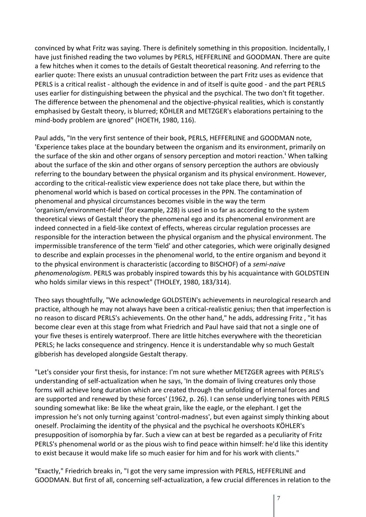convinced by what Fritz was saying. There is definitely something in this proposition. Incidentally, I have just finished reading the two volumes by PERLS, HEFFERLINE and GOODMAN. There are quite a few hitches when it comes to the details of Gestalt theoretical reasoning. And referring to the earlier quote: There exists an unusual contradiction between the part Fritz uses as evidence that PERLS is a critical realist - although the evidence in and of itself is quite good - and the part PERLS uses earlier for distinguishing between the physical and the psychical. The two don't fit together. The difference between the phenomenal and the objective-physical realities, which is constantly emphasised by Gestalt theory, is blurred; KÖHLER and METZGER's elaborations pertaining to the mind-body problem are ignored" (HOETH, 1980, 116).

Paul adds, "In the very first sentence of their book, PERLS, HEFFERLINE and GOODMAN note, 'Experience takes place at the boundary between the organism and its environment, primarily on the surface of the skin and other organs of sensory perception and motori reaction.' When talking about the surface of the skin and other organs of sensory perception the authors are obviously referring to the boundary between the physical organism and its physical environment. However, according to the critical-realistic view experience does not take place there, but within the phenomenal world which is based on cortical processes in the PPN. The contamination of phenomenal and physical circumstances becomes visible in the way the term 'organism/environment-field' (for example, 228) is used in so far as according to the system theoretical views of Gestalt theory the phenomenal ego and its phenomenal environment are indeed connected in a field-like context of effects, whereas circular regulation processes are responsible for the interaction between the physical organism and the physical environment. The impermissible transference of the term 'field' and other categories, which were originally designed to describe and explain processes in the phenomenal world, to the entire organism and beyond it to the physical environment is characteristic (according to BISCHOF) of a *semi-naive phenomenologism*. PERLS was probably inspired towards this by his acquaintance with GOLDSTEIN who holds similar views in this respect" (THOLEY, 1980, 183/314).

Theo says thoughtfully, "We acknowledge GOLDSTEIN's achievements in neurological research and practice, although he may not always have been a critical-realistic genius; then that imperfection is no reason to discard PERLS's achievements. On the other hand," he adds, addressing Fritz , "it has become clear even at this stage from what Friedrich and Paul have said that not a single one of your five theses is entirely waterproof. There are little hitches everywhere with the theoretician PERLS; he lacks consequence and stringency. Hence it is understandable why so much Gestalt gibberish has developed alongside Gestalt therapy.

"Let's consider your first thesis, for instance: I'm not sure whether METZGER agrees with PERLS's understanding of self-actualization when he says, 'In the domain of living creatures only those forms will achieve long duration which are created through the unfolding of internal forces and are supported and renewed by these forces' (1962, p. 26). I can sense underlying tones with PERLS sounding somewhat like: Be like the wheat grain, like the eagle, or the elephant. I get the impression he's not only turning against 'control-madness', but even against simply thinking about oneself. Proclaiming the identity of the physical and the psychical he overshoots KÖHLER's presupposition of isomorphia by far. Such a view can at best be regarded as a peculiarity of Fritz PERLS's phenomenal world or as the pious wish to find peace within himself: he'd like this identity to exist because it would make life so much easier for him and for his work with clients."

"Exactly," Friedrich breaks in, "I got the very same impression with PERLS, HEFFERLINE and GOODMAN. But first of all, concerning self-actualization, a few crucial differences in relation to the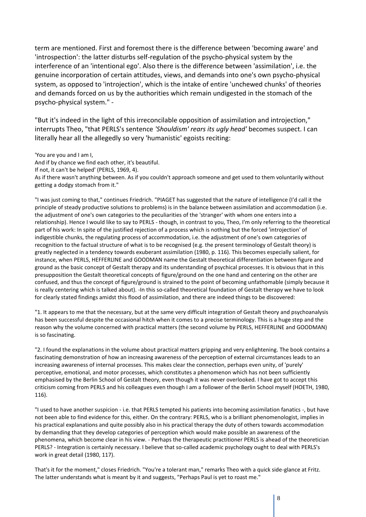term are mentioned. First and foremost there is the difference between 'becoming aware' and 'introspection': the latter disturbs self-regulation of the psycho-physical system by the interference of an 'intentional ego'. Also there is the difference between 'assimilation', i.e. the genuine incorporation of certain attitudes, views, and demands into one's own psycho-physical system, as opposed to 'introjection', which is the intake of entire 'unchewed chunks' of theories and demands forced on us by the authorities which remain undigested in the stomach of the psycho-physical system." -

"But it's indeed in the light of this irreconcilable opposition of assimilation and introjection," interrupts Theo, "that PERLS's sentence *'Shouldism' rears its ugly head'* becomes suspect. I can literally hear all the allegedly so very 'humanistic' egoists reciting:

'You are you and I am I, And if by chance we find each other, it's beautiful. If not, it can't be helped' (PERLS, 1969, 4). As if there wasn't anything between. As if you couldn't approach someone and get used to them voluntarily without getting a dodgy stomach from it."

"I was just coming to that," continues Friedrich. "PIAGET has suggested that the nature of intelligence (I'd call it the principle of steady productive solutions to problems) is in the balance between assimilation and accommodation (i.e. the adjustment of one's own categories to the peculiarities of the 'stranger' with whom one enters into a relationship). Hence I would like to say to PERLS - though, in contrast to you, Theo, I'm only referring to the theoretical part of his work: In spite of the justified rejection of a process which is nothing but the forced 'introjection' of indigestible chunks, the regulating process of accommodation, i.e. the adjustment of one's own categories of recognition to the factual structure of what is to be recognised (e.g. the present terminology of Gestalt theory) is greatly neglected in a tendency towards exuberant assimilation (1980, p. 116). This becomes especially salient, for instance, when PERLS, HEFFERLINE and GOODMAN name the Gestalt theoretical differentiation between figure and ground as the basic concept of Gestalt therapy and its understanding of psychical processes. It is obvious that in this presupposition the Gestalt theoretical concepts of figure/ground on the one hand and centering on the other are confused, and thus the concept of figure/ground is strained to the point of becoming unfathomable (simply because it is really centering which is talked about). -In this so-called theoretical foundation of Gestalt therapy we have to look for clearly stated findings amidst this flood of assimilation, and there are indeed things to be discovered:

"1. It appears to me that the necessary, but at the same very difficult integration of Gestalt theory and psychoanalysis has been successful despite the occasional hitch when it comes to a precise terminology. This is a huge step and the reason why the volume concerned with practical matters (the second volume by PERLS, HEFFERLINE and GOODMAN) is so fascinating.

"2. I found the explanations in the volume about practical matters gripping and very enlightening. The book contains a fascinating demonstration of how an increasing awareness of the perception of external circumstances leads to an increasing awareness of internal processes. This makes clear the connection, perhaps even unity, of 'purely' perceptive, emotional, and motor processes, which constitutes a phenomenon which has not been sufficiently emphasised by the Berlin School of Gestalt theory, even though it was never overlooked. I have got to accept this criticism coming from PERLS and his colleagues even though I am a follower of the Berlin School myself (HOETH, 1980, 116).

"I used to have another suspicion - i.e. that PERLS tempted his patients into becoming assimilation fanatics -, but have not been able to find evidence for this, either. On the contrary: PERLS, who is a brilliant phenomenologist, implies in his practical explanations and quite possibly also in his practical therapy the duty of others towards accommodation by demanding that they develop categories of perception which would make possible an awareness of the phenomena, which become clear in his view. - Perhaps the therapeutic practitioner PERLS is ahead of the theoretician PERLS? - Integration is certainly necessary. I believe that so-called academic psychology ought to deal with PERLS's work in great detail (1980, 117).

That's it for the moment," closes Friedrich. "You're a tolerant man," remarks Theo with a quick side-glance at Fritz. The latter understands what is meant by it and suggests, "Perhaps Paul is yet to roast me."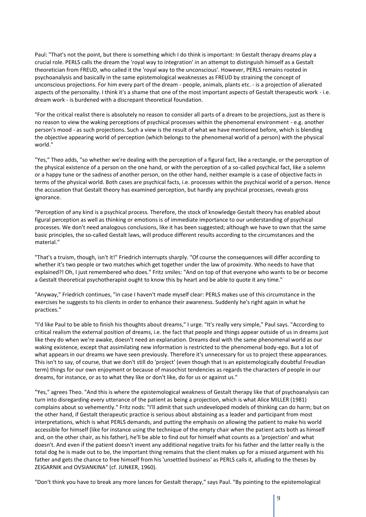Paul: "That's not the point, but there is something which I do think is important: In Gestalt therapy dreams play a crucial role. PERLS calls the dream the 'royal way to integration' in an attempt to distinguish himself as a Gestalt theoretician from FREUD, who called it the 'royal way to the unconscious'. However, PERLS remains rooted in psychoanalysis and basically in the same epistemological weaknesses as FREUD by straining the concept of unconscious projections. For him every part of the dream - people, animals, plants etc. - is a projection of alienated aspects of the personality. I think it's a shame that one of the most important aspects of Gestalt therapeutic work - i.e. dream work - is burdened with a discrepant theoretical foundation.

"For the critical realist there is absolutely no reason to consider all parts of a dream to be projections, just as there is no reason to view the waking perceptions of psychical processes within the phenomenal environment - e.g. another person's mood - as such projections. Such a view is the result of what we have mentioned before, which is blending the objective appearing world of perception (which belongs to the phenomenal world of a person) with the physical world."

"Yes," Theo adds, "so whether we're dealing with the perception of a figural fact, like a rectangle, or the perception of the physical existence of a person on the one hand, or with the perception of a so-called psychical fact, like a solemn or a happy tune or the sadness of another person, on the other hand, neither example is a case of objective facts in terms of the physical world. Both cases are psychical facts, i.e. processes within the psychical world of a person. Hence the accusation that Gestalt theory has examined perception, but hardly any psychical processes, reveals gross ignorance.

"Perception of any kind is a psychical process. Therefore, the stock of knowledge Gestalt theory has enabled about figural perception as well as thinking or emotions is of immediate importance to our understanding of psychical processes. We don't need analogous conclusions, like it has been suggested; although we have to own that the same basic principles, the so-called Gestalt laws, will produce different results according to the circumstances and the material."

"That's a truism, though, isn't it!" Friedrich interrupts sharply. "Of course the consequences will differ according to whether it's two people or two matches which get together under the law of proximity. Who needs to have that explained?! Oh, I just remembered who does." Fritz smiles: "And on top of that everyone who wants to be or become a Gestalt theoretical psychotherapist ought to know this by heart and be able to quote it any time."

"Anyway," Friedrich continues, "in case I haven't made myself clear: PERLS makes use of this circumstance in the exercises he suggests to his clients in order to enhance their awareness. Suddenly he's right again in what he practices."

"I'd like Paul to be able to finish his thoughts about dreams," I urge. "It's really very simple," Paul says. "According to critical realism the external position of dreams, i.e. the fact that people and things appear outside of us in dreams just like they do when we're awake, doesn't need an explanation. Dreams deal with the same phenomenal world as our waking existence, except that assimilating new information is restricted to the phenomenal body-ego. But a lot of what appears in our dreams we have seen previously. Therefore it's unnecessary for us to project these appearances. This isn't to say, of course, that we don't still do 'project' (even though that is an epistemologically doubtful Freudian term) things for our own enjoyment or because of masochist tendencies as regards the characters of people in our dreams, for instance, or as to what they like or don't like, do for us or against us."

"Yes," agrees Theo. "And this is where the epistemological weakness of Gestalt therapy like that of psychoanalysis can turn into disregarding every utterance of the patient as being a projection, which is what Alice MILLER (1981) complains about so vehemently." Fritz nods: "I'll admit that such undeveloped models of thinking can do harm; but on the other hand, if Gestalt therapeutic practice is serious about abstaining as a leader and participant from most interpretations, which is what PERLS demands, and putting the emphasis on allowing the patient to make his world accessible for himself (like for instance using the technique of the empty chair when the patient acts both as himself and, on the other chair, as his father), he'll be able to find out for himself what counts as a 'projection' and what doesn't. And even if the patient doesn't invent any additional negative traits for his father and the latter really is the total dog he is made out to be, the important thing remains that the client makes up for a missed argument with his father and gets the chance to free himself from his 'unsettled business' as PERLS calls it, alluding to the theses by ZEIGARNIK and OVSIANKINA" (cf. JUNKER, 1960).

"Don't think you have to break any more lances for Gestalt therapy," says Paul. "By pointing to the epistemological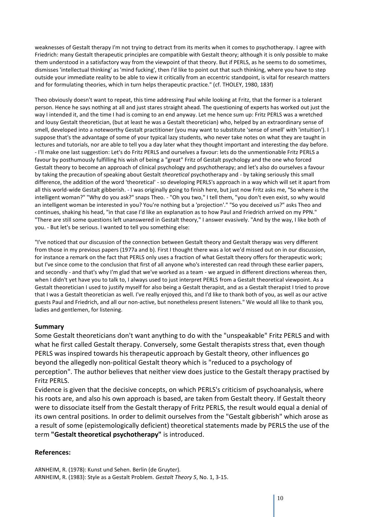weaknesses of Gestalt therapy I'm not trying to detract from its merits when it comes to psychotherapy. I agree with Friedrich: many Gestalt therapeutic principles are compatible with Gestalt theory; although it is only possible to make them understood in a satisfactory way from the viewpoint of that theory. But if PERLS, as he seems to do sometimes, dismisses 'intellectual thinking' as 'mind fucking', then I'd like to point out that such thinking, where you have to step outside your immediate reality to be able to view it critically from an eccentric standpoint, is vital for research matters and for formulating theories, which in turn helps therapeutic practice." (cf. THOLEY, 1980, 183f)

Theo obviously doesn't want to repeat, this time addressing Paul while looking at Fritz, that the former is a tolerant person. Hence he says nothing at all and just stares straight ahead. The questioning of experts has worked out just the way I intended it, and the time I had is coming to an end anyway. Let me hence sum up: Fritz PERLS was a wretched and lousy Gestalt theoretician, (but at least he was a Gestalt theoretician) who, helped by an extraordinary sense of smell, developed into a noteworthy Gestalt practitioner (you may want to substitute 'sense of smell' with 'intuition'). I suppose that's the advantage of some of your typical lazy students, who never take notes on what they are taught in lectures and tutorials, nor are able to tell you a day later what they thought important and interesting the day before. - I'll make one last suggestion: Let's do Fritz PERLS and ourselves a favour: lets do the unmentionable Fritz PERLS a favour by posthumously fulfilling his wish of being a "great" Fritz of Gestalt psychology and the one who forced Gestalt theory to become an approach of clinical psychology and psychotherapy; and let's also do ourselves a favour by taking the precaution of speaking about Gestalt *theoretical* psychotherapy and - by taking seriously this small difference, the addition of the word 'theoretical' - so developing PERLS's approach in a way which will set it apart from all this world-wide Gestalt gibberish. - I was originally going to finish here, but just now Fritz asks me, "So where is the intelligent woman?" "Why do you ask?" snaps Theo. - "Oh you two," I tell them, "you don't even exist, so why would an intelligent woman be interested in you? You're nothing but a 'projection'." "So you deceived us?" asks Theo and continues, shaking his head, "in that case I'd like an explanation as to how Paul and Friedrich arrived on my PPN." "There are still some questions left unanswered in Gestalt theory," I answer evasively. "And by the way, I like both of you. - But let's be serious. I wanted to tell you something else:

"I've noticed that our discussion of the connection between Gestalt theory and Gestalt therapy was very different from those in my previous papers (1977a and b). First I thought there was a lot we'd missed out on in our discussion, for instance a remark on the fact that PERLS only uses a fraction of what Gestalt theory offers for therapeutic work; but I've since come to the conclusion that first of all anyone who's interested can read through these earlier papers, and secondly - and that's why I'm glad that we've worked as a team - we argued in different directions whereas then, when I didn't yet have you to talk to, I always used to just interpret PERLS from a Gestalt theoretical viewpoint. As a Gestalt theoretician I used to justify myself for also being a Gestalt therapist, and as a Gestalt therapist I tried to prove that I was a Gestalt theoretician as well. I've really enjoyed this, and I'd like to thank both of you, as well as our active guests Paul and Friedrich, and all our non-active, but nonetheless present listeners." We would all like to thank you, ladies and gentlemen, for listening.

### **Summary**

Some Gestalt theoreticians don't want anything to do with the "unspeakable" Fritz PERLS and with what he first called Gestalt therapy. Conversely, some Gestalt therapists stress that, even though PERLS was inspired towards his therapeutic approach by Gestalt theory, other influences go beyond the allegedly non-political Gestalt theory which is "reduced to a psychology of perception". The author believes that neither view does justice to the Gestalt therapy practised by Fritz PERLS.

Evidence is given that the decisive concepts, on which PERLS's criticism of psychoanalysis, where his roots are, and also his own approach is based, are taken from Gestalt theory. If Gestalt theory were to dissociate itself from the Gestalt therapy of Fritz PERLS, the result would equal a denial of its own central positions. In order to delimit ourselves from the "Gestalt gibberish" which arose as a result of some (epistemologically deficient) theoretical statements made by PERLS the use of the term **"Gestalt theoretical psychotherapy"** is introduced.

#### **References:**

ARNHEIM, R. (1978): Kunst und Sehen. Berlin (de Gruyter). ARNHEIM, R. (1983): Style as a Gestalt Problem. *Gestalt Theory 5*, No. 1, 3-15.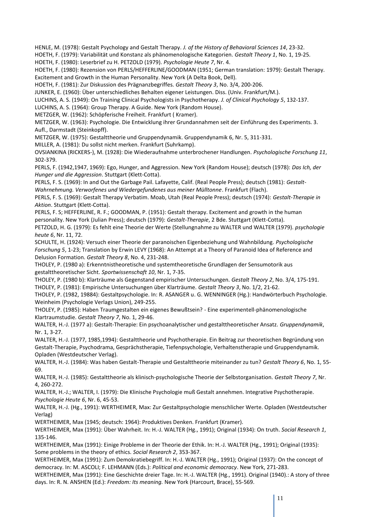HENLE, M. (1978): Gestalt Psychology and Gestalt Therapy. *J. of the History of Behavioral Sciences 14*, 23-32.

HOETH, F. (1979): Variabilität und Konstanz als phänomenologische Kategorien. *Gestalt Theory 1*, No. 1, 19-25.

HOETH, F. (1980): Leserbrief zu H. PETZOLD (1979). *Psychologie Heute 7*, Nr. 4.

HOETH, F. (1980): Rezension von PERLS/HEFFERLINE/GOODMAN (1951; German translation: 1979): Gestalt Therapy. Excitement and Growth in the Human Personality. New York (A Delta Book, Dell).

HOETH, F. (1981): Zur Diskussion des Prägnanzbegriffes. *Gestalt Theory 3*, No. 3/4, 200-206.

JUNKER, E. (1960): Über unterschiedliches Behalten eigener Leistungen. Diss. (Univ. Frankfurt/M.).

LUCHINS, A. S. (1949): On Training Clinical Psychologists in Psychotherapy. *J. of Clinical Psychology 5*, 132-137.

LUCHINS, A. S. (1964): Group Therapy. A Guide. New York (Random House).

METZGER, W. (1962): Schöpferische Freiheit. Frankfurt ( Kramer).

METZGER, W. (1963): Psychologie. Die Entwicklung ihrer Grundannahmen seit der Einführung des Experiments. 3. Aufl., Darmstadt (Steinkopff).

METZGER, W. (1975): Gestalttheorie und Gruppendynamik. Gruppendynamik 6, Nr. 5, 311-331.

MILLER, A. (1981): Du sollst nicht merken. Frankfurt (Suhrkamp).

OVSIANKINA (RICKERS-), M. (1928): Die Wiederaufnahme unterbrochener Handlungen. *Psychologische Forschung 11*, 302-379.

PERLS, F. (1942,1947, 1969): Ego, Hunger, and Aggression. New York (Random House); deutsch (1978): *Das Ich, der Hunger und die Aggression*. Stuttgart (Klett-Cotta).

PERLS, F. S. (1969): In and Out the Garbage Pail. Lafayette, Calif. (Real People Press); deutsch (1981): *Gestalt-Wahrnehmung. Verworfenes und Wiedergefundenes aus meiner Mülltonne*. Frankfurt (Flach).

PERLS, F. S. (1969): Gestalt Therapy Verbatim. Moab, Utah (Real People Press); deutsch (1974): *Gestalt-Therapie in Aktion*. Stuttgart (Klett-Cotta).

PERLS, F. S; HEFFERLINE, R. F.; GOODMAN, P. (1951): Gestalt therapy. Excitement and growth in the human personality. New York (Julian Press); deutsch (1979): *Gestalt-Therapie*, 2 Bde. Stuttgart (Klett-Cotta).

PETZOLD, H. G. (1979): Es fehlt eine Theorie der Werte (Stellungnahme zu WALTER und WALTER (1979). *psychologie heute 6*, Nr. 11, 72.

SCHULTE, H. (1924): Versuch einer Theorie der paranoischen Eigenbeziehung und Wahnbildung. *Psychologische Forschung 5*, 1-23; Translation by Erwin LEVY (1968): An Attempt at a Theory of Paranoid Idea of Reference and Delusion Formation. *Gestalt Theory 8*, No. 4, 231-248.

THOLEY, P. (1980 a): Erkenntnistheoretische und systemtheoretische Grundlagen der Sensumotorik aus gestalttheoretischer Sicht. *Sportwissenschaft 10*, Nr. 1, 7-35.

THOLEY, P. (1980 b): Klarträume als Gegenstand empirischer Untersuchungen. *Gestalt Theory 2*, No. 3/4, 175-191.

THOLEY, P. (1981): Empirische Untersuchungen über Klarträume. *Gestalt Theory 3*, No. 1/2, 21-62.

THOLEY, P. (1982, 19884): Gestaltpsychologie. In: R. ASANGER u. G. WENNINGER (Hg.): Handwörterbuch Psychologie. Weinheim (Psychologie Verlags Union), 249-255.

THOLEY, P. (1985): Haben Traumgestalten ein eigenes Bewußtsein? - Eine experimentell-phänomenologische Klartraumstudie. *Gestalt Theory 7*, No. 1, 29-46.

WALTER, H.-J. (1977 a): Gestalt-Therapie: Ein psychoanalytischer und gestalttheoretischer Ansatz. *Gruppendynamik*, Nr. 1, 3-27.

WALTER, H.-J. (1977, 1985,1994): Gestalttheorie und Psychotherapie. Ein Beitrag zur theoretischen Begründung von Gestalt-Therapie, Psychodrama, Gesprächstherapie, Tiefenpsychologie, Verhaltenstherapie und Gruppendynamik. Opladen (Westdeutscher Verlag).

WALTER, H.-J. (1984): Was haben Gestalt-Therapie und Gestalttheorie miteinander zu tun? *Gestalt Theory 6*, No. 1, 55- 69.

WALTER, H.-J. (1985): Gestalttheorie als klinisch-psychologische Theorie der Selbstorganisation. *Gestalt Theory 7*, Nr. 4, 260-272.

WALTER, H.-J.; WALTER, I. (1979): Die Klinische Psychologie muß Gestalt annehmen. Integrative Psychotherapie. *Psychologie Heute 6*, Nr. 6, 45-53.

WALTER, H.-J. (Hg., 1991): WERTHEIMER, Max: Zur Gestaltpsychologie menschlicher Werte. Opladen (Westdeutscher Verlag)

WERTHEIMER, Max (1945; deutsch: 1964): Produktives Denken. Frankfurt (Kramer).

WERTHEIMER, Max (1991): Über Wahrheit. In: H.-J. WALTER (Hg., 1991); Original (1934): On truth. *Social Research 1*, 135-146.

WERTHEIMER, Max (1991): Einige Probleme in der Theorie der Ethik. In: H.-J. WALTER (Hg., 1991); Original (1935): Some problems in the theory of ethics. *Social Research 2*, 353-367.

WERTHEIMER, Max (1991): Zum Demokratiebegriff. In: H.-J. WALTER (Hg., 1991); Original (1937): On the concept of democracy. In: M. ASCOLI; F. LEHMANN (Eds.): *Political and economic democracy*. New York, 271-283.

WERTHEIMER, Max (1991): Eine Geschichte dreier Tage. In: H.-J. WALTER (Hg., 1991). Original (1940).: A story of three days. In: R. N. ANSHEN (Ed.): *Freedom: Its meaning.* New York (Harcourt, Brace), 55-569.